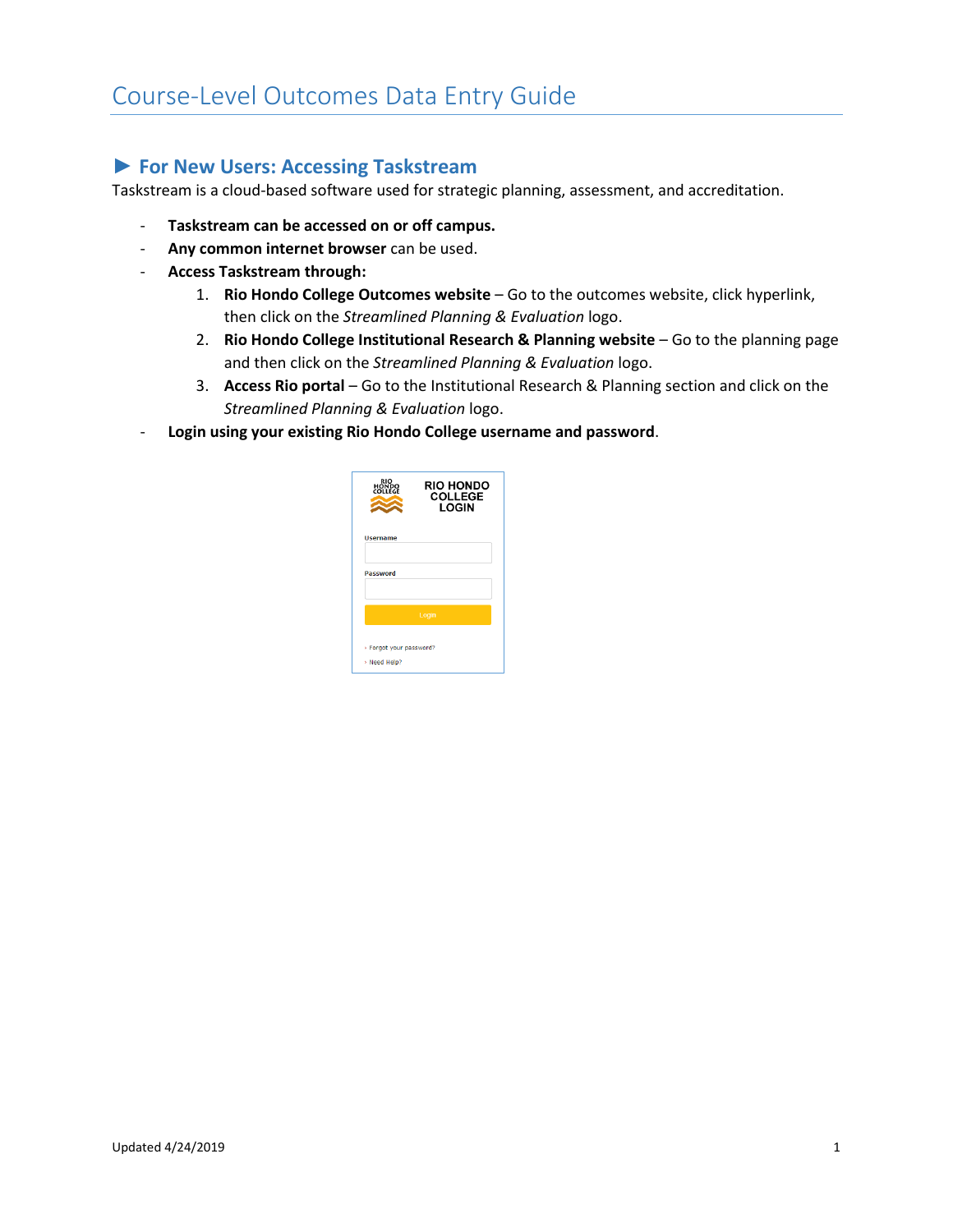# Course-Level Outcomes Data Entry Guide

### **► For New Users: Accessing Taskstream**

Taskstream is a cloud-based software used for strategic planning, assessment, and accreditation.

- **Taskstream can be accessed on or off campus.**
- **Any common internet browser** can be used.
- **Access Taskstream through:** 
	- 1. **Rio Hondo College Outcomes website**  Go to the outcomes website, click hyperlink, then click on the *Streamlined Planning & Evaluation* logo.
	- 2. **Rio Hondo College Institutional Research & Planning website** Go to the planning page and then click on the *Streamlined Planning & Evaluation* logo.
	- 3. **Access Rio portal** Go to the Institutional Research & Planning section and click on the *Streamlined Planning & Evaluation* logo.
- **Login using your existing Rio Hondo College username and password**.

| RIO<br>HONDO<br>COLLEGE                 | <b>RIO HONDO</b><br><b>COLLEGE</b><br>LOGIN |
|-----------------------------------------|---------------------------------------------|
| <b>Username</b>                         |                                             |
| Password                                |                                             |
| Login                                   |                                             |
| > Forgot your password?<br>> Need Help? |                                             |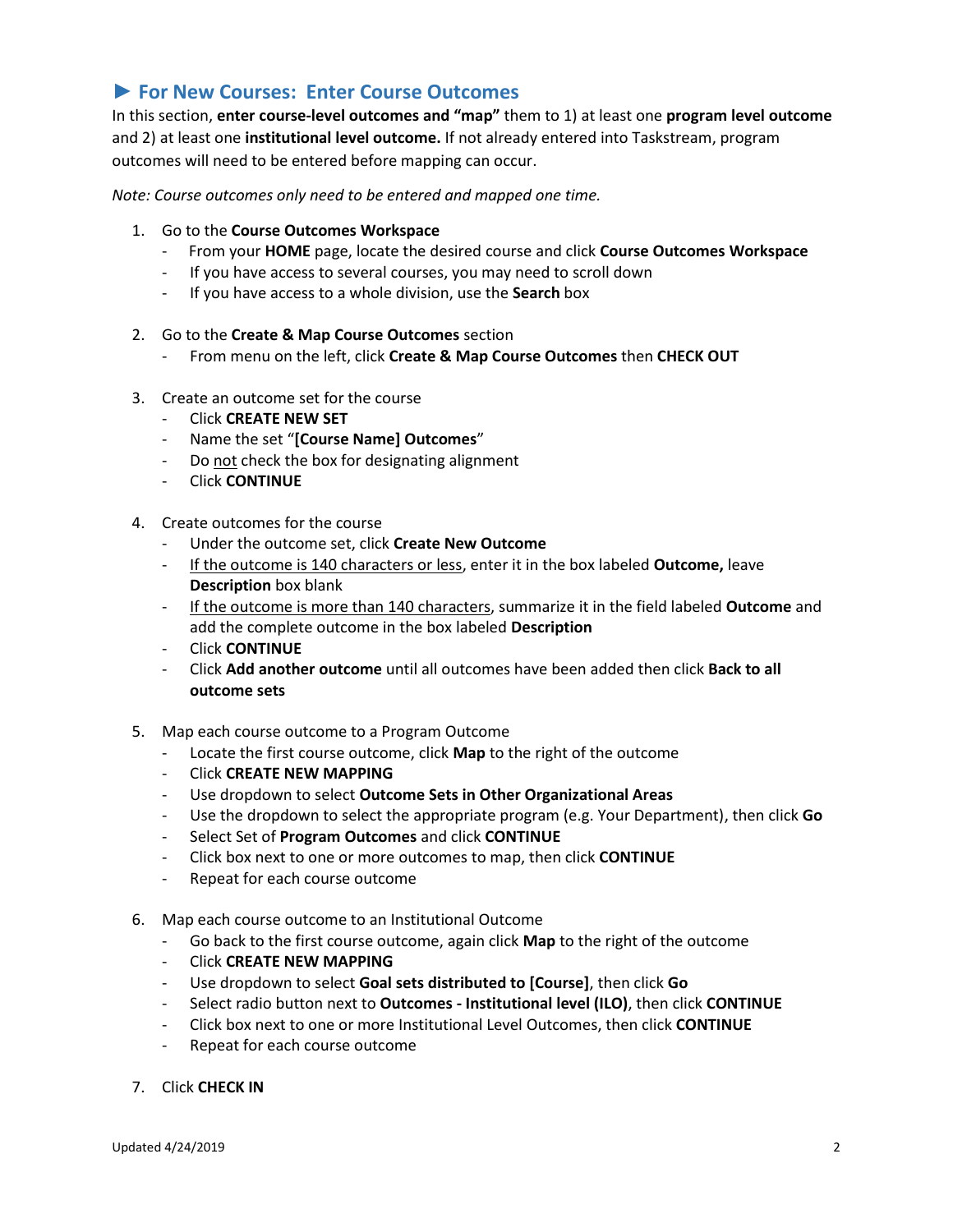## **► For New Courses: Enter Course Outcomes**

In this section, **enter course-level outcomes and "map"** them to 1) at least one **program level outcome** and 2) at least one **institutional level outcome.** If not already entered into Taskstream, program outcomes will need to be entered before mapping can occur.

*Note: Course outcomes only need to be entered and mapped one time.* 

- 1. Go to the **Course Outcomes Workspace**
	- From your **HOME** page, locate the desired course and click **Course Outcomes Workspace**
	- If you have access to several courses, you may need to scroll down
	- If you have access to a whole division, use the **Search** box
- 2. Go to the **Create & Map Course Outcomes** section
	- From menu on the left, click **Create & Map Course Outcomes** then **CHECK OUT**
- 3. Create an outcome set for the course
	- Click **CREATE NEW SET**
	- Name the set "**[Course Name] Outcomes**"
	- Do not check the box for designating alignment
	- Click **CONTINUE**
- 4. Create outcomes for the course
	- Under the outcome set, click **Create New Outcome**
	- If the outcome is 140 characters or less, enter it in the box labeled **Outcome,** leave **Description** box blank
	- If the outcome is more than 140 characters, summarize it in the field labeled **Outcome** and add the complete outcome in the box labeled **Description**
	- Click **CONTINUE**
	- Click **Add another outcome** until all outcomes have been added then click **Back to all outcome sets**
- 5. Map each course outcome to a Program Outcome
	- Locate the first course outcome, click **Map** to the right of the outcome
	- Click **CREATE NEW MAPPING**
	- Use dropdown to select **Outcome Sets in Other Organizational Areas**
	- Use the dropdown to select the appropriate program (e.g. Your Department), then click **Go**
	- Select Set of **Program Outcomes** and click **CONTINUE**
	- Click box next to one or more outcomes to map, then click **CONTINUE**
	- Repeat for each course outcome
- 6. Map each course outcome to an Institutional Outcome
	- Go back to the first course outcome, again click **Map** to the right of the outcome
	- Click **CREATE NEW MAPPING**
	- Use dropdown to select **Goal sets distributed to [Course]**, then click **Go**
	- Select radio button next to **Outcomes - Institutional level (ILO)**, then click **CONTINUE**
	- Click box next to one or more Institutional Level Outcomes, then click **CONTINUE**
	- Repeat for each course outcome
- 7. Click **CHECK IN**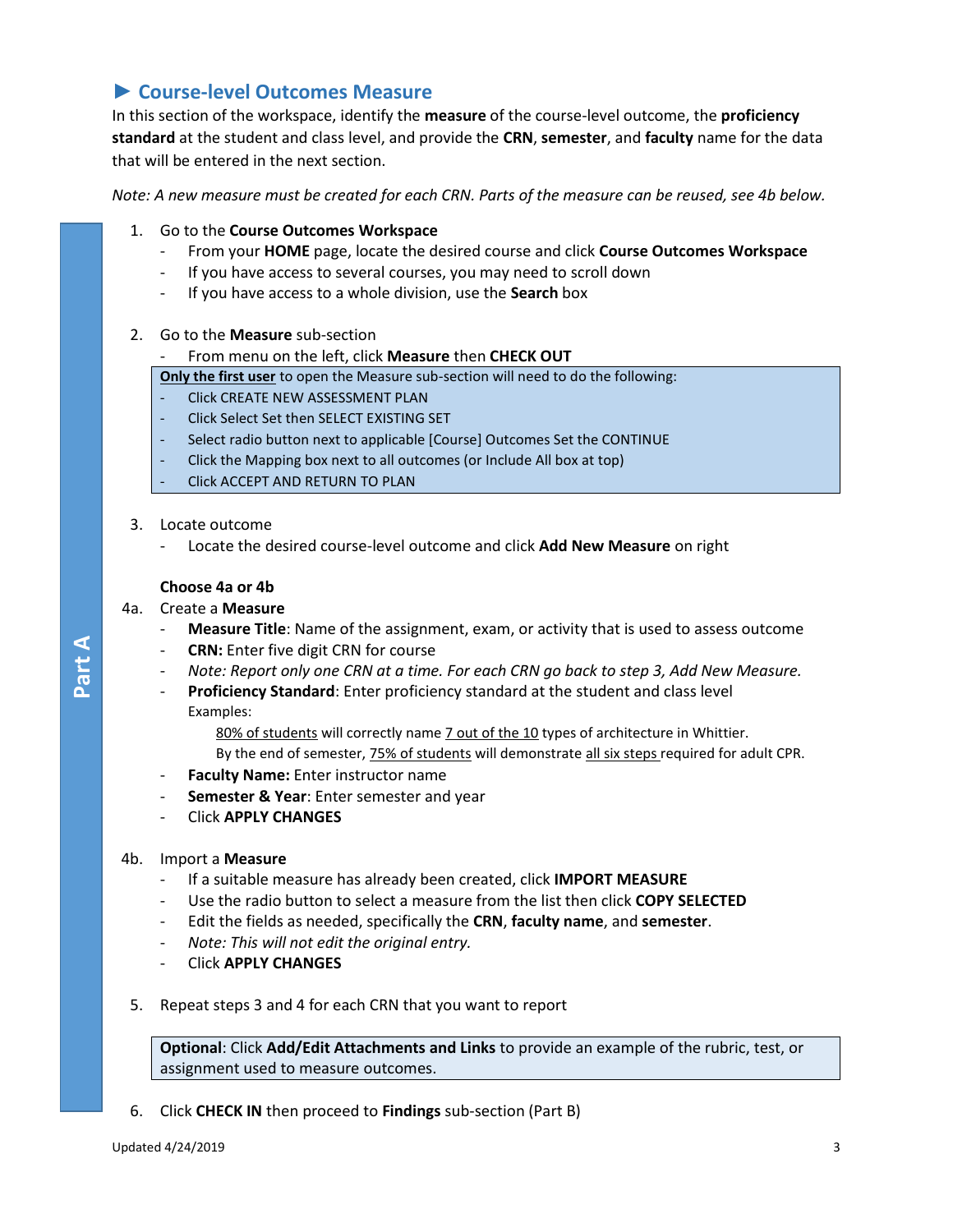# **► Course-level Outcomes Measure**

In this section of the workspace, identify the **measure** of the course-level outcome, the **proficiency standard** at the student and class level, and provide the **CRN**, **semester**, and **faculty** name for the data that will be entered in the next section.

*Note: A new measure must be created for each CRN. Parts of the measure can be reused, see 4b below.* 

- 1. Go to the **Course Outcomes Workspace**
	- From your **HOME** page, locate the desired course and click **Course Outcomes Workspace**
	- If you have access to several courses, you may need to scroll down
	- If you have access to a whole division, use the **Search** box
- 2. Go to the **Measure** sub-section

#### - From menu on the left, click **Measure** then **CHECK OUT**

**Only the first user** to open the Measure sub-section will need to do the following:

- Click CREATE NEW ASSESSMENT PLAN
- Click Select Set then SELECT EXISTING SET
- Select radio button next to applicable [Course] Outcomes Set the CONTINUE
- Click the Mapping box next to all outcomes (or Include All box at top)
- Click ACCEPT AND RETURN TO PLAN
- 3. Locate outcome
	- Locate the desired course-level outcome and click **Add New Measure** on right

#### **Choose 4a or 4b**

#### 4a. Create a **Measure**

**Part A**

- **Measure Title**: Name of the assignment, exam, or activity that is used to assess outcome
- **CRN:** Enter five digit CRN for course
- *Note: Report only one CRN at a time. For each CRN go back to step 3, Add New Measure.*
- Proficiency Standard: Enter proficiency standard at the student and class level Examples:

80% of students will correctly name 7 out of the 10 types of architecture in Whittier.

By the end of semester, 75% of students will demonstrate all six steps required for adult CPR.

- **Faculty Name:** Enter instructor name
- **Semester & Year:** Enter semester and year
- Click **APPLY CHANGES**

#### 4b. Import a **Measure**

- If a suitable measure has already been created, click **IMPORT MEASURE**
- Use the radio button to select a measure from the list then click **COPY SELECTED**
- Edit the fields as needed, specifically the **CRN**, **faculty name**, and **semester**.
- *Note: This will not edit the original entry.*
- Click **APPLY CHANGES**
- 5. Repeat steps 3 and 4 for each CRN that you want to report

**Optional**: Click **Add/Edit Attachments and Links** to provide an example of the rubric, test, or assignment used to measure outcomes.

6. Click **CHECK IN** then proceed to **Findings** sub-section (Part B)